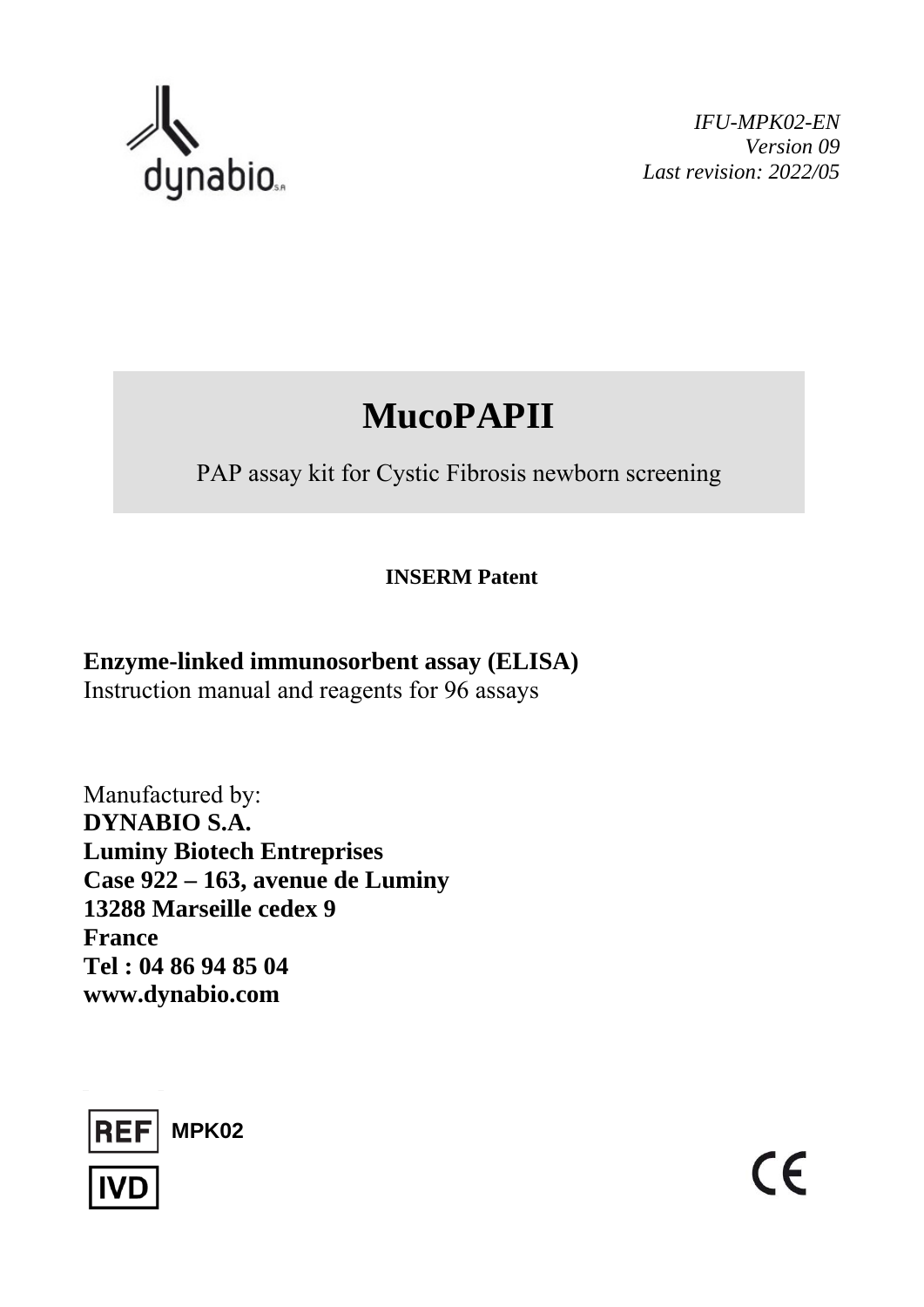

*IFU-MPK02-EN Version 09 Last revision: 2022/05* 

# **MucoPAPII**

PAP assay kit for Cystic Fibrosis newborn screening

## **INSERM Patent**

# **Enzyme-linked immunosorbent assay (ELISA)**  Instruction manual and reagents for 96 assays

Manufactured by: **DYNABIO S.A. Luminy Biotech Entreprises Case 922 – 163, avenue de Luminy 13288 Marseille cedex 9 France Tel : 04 86 94 85 04 www.dynabio.com** 



 $\epsilon$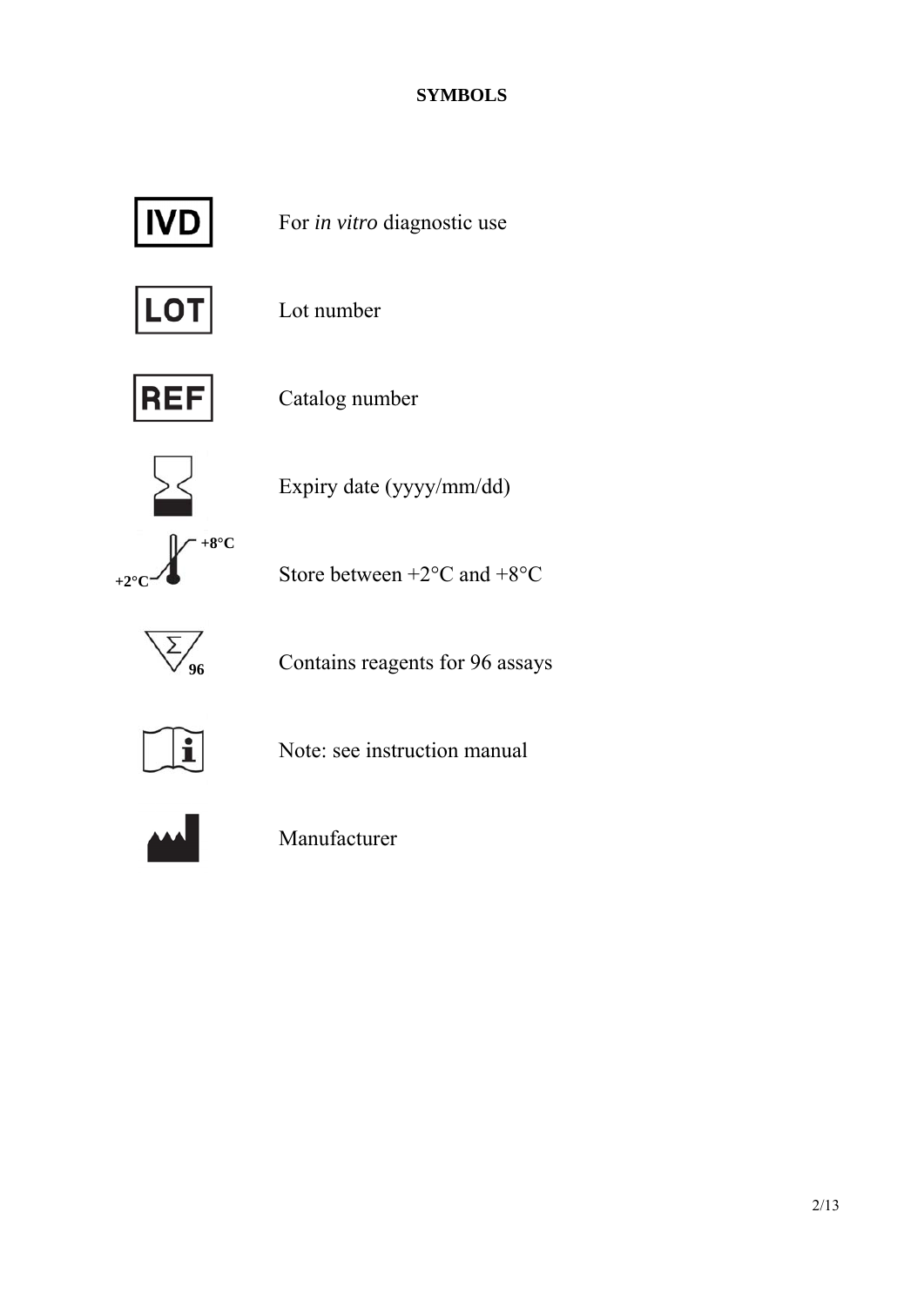## **SYMBOLS**



For *in vitro* diagnostic use



Lot number



Catalog number



Expiry date (yyyy/mm/dd)

**+8°C**   $+2^\circ$ 

Store between  $+2$ <sup>o</sup>C and  $+8$ <sup>o</sup>C



Contains reagents for 96 assays



Note: see instruction manual



Manufacturer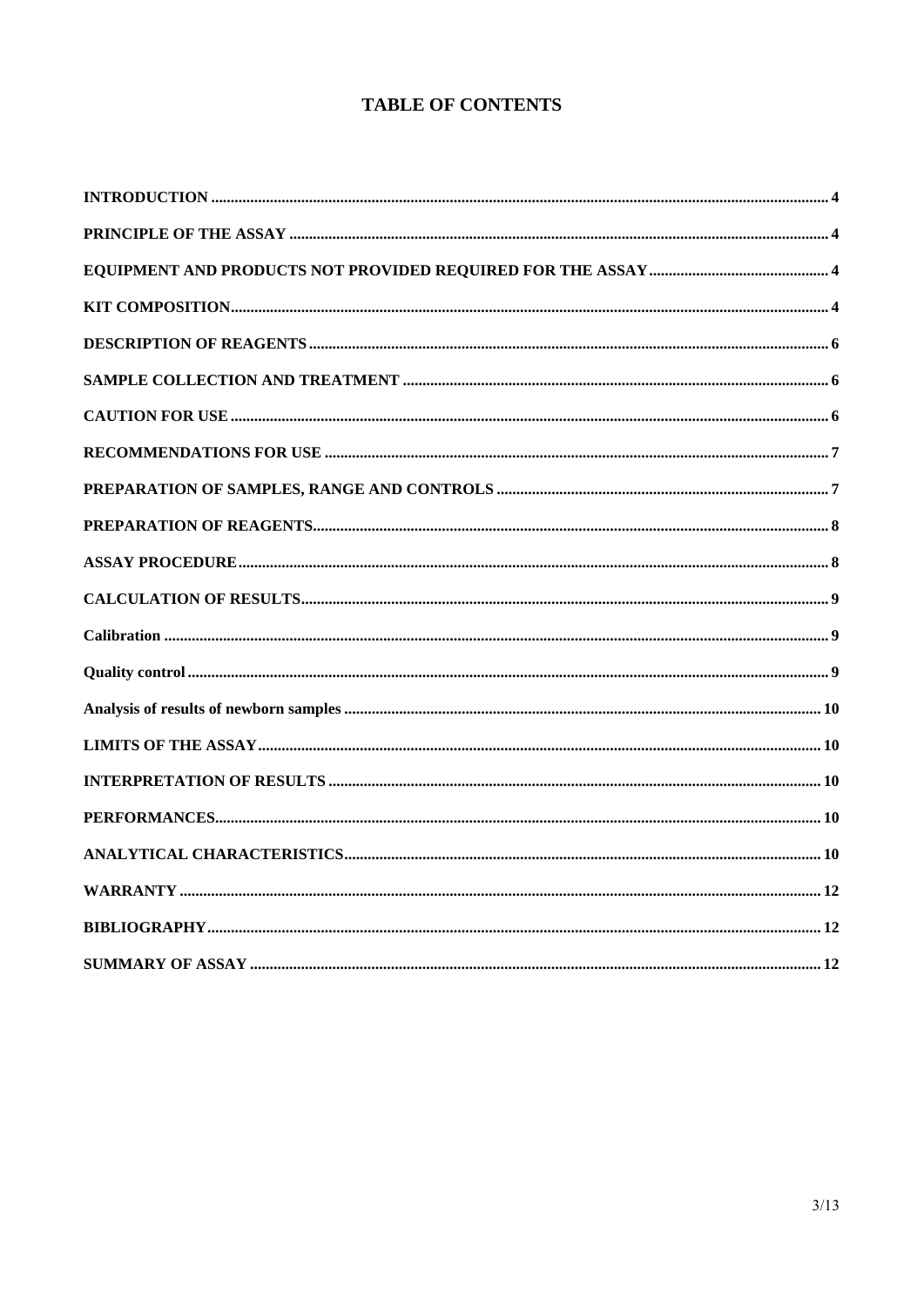### **TABLE OF CONTENTS**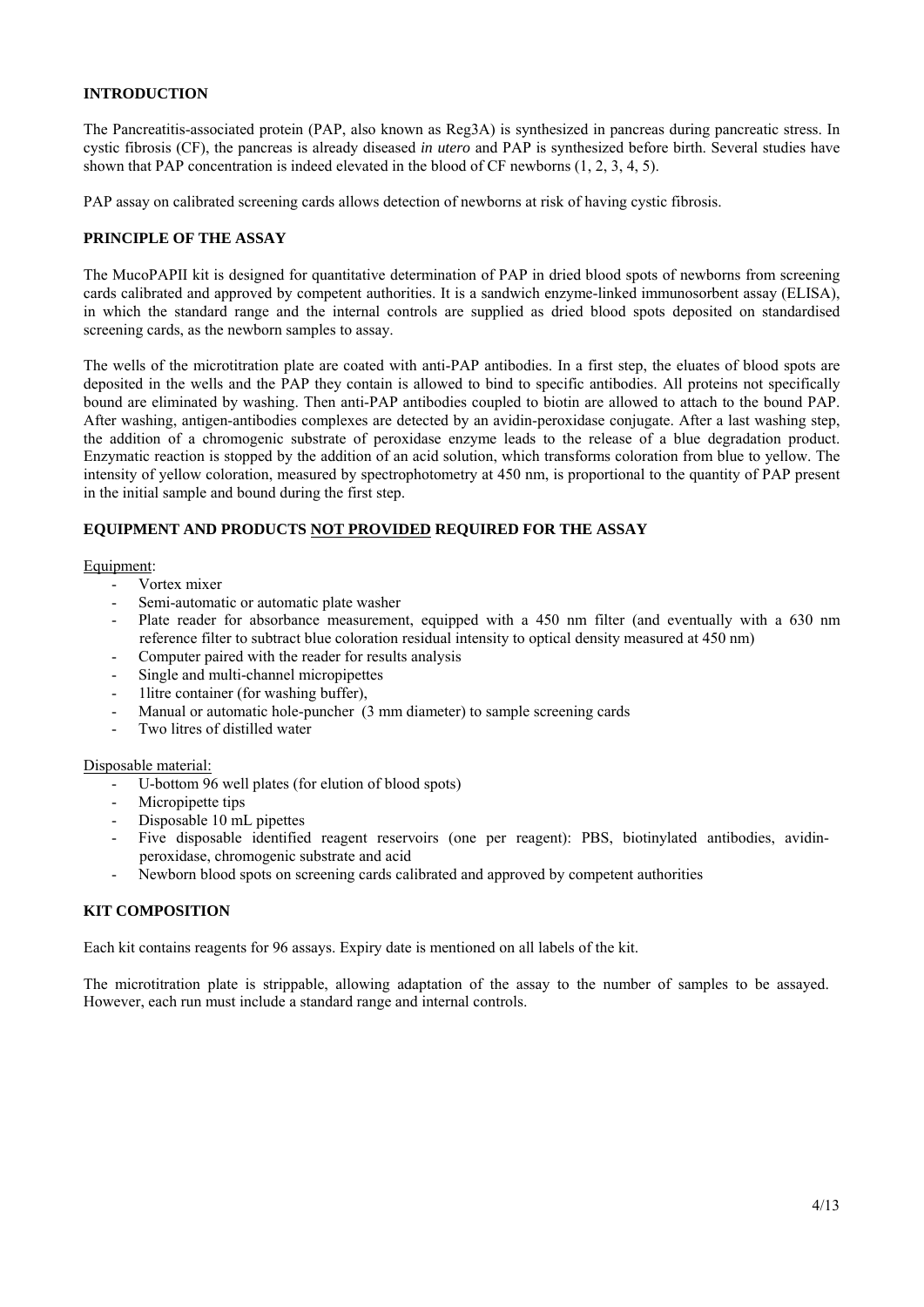#### **INTRODUCTION**

The Pancreatitis-associated protein (PAP, also known as Reg3A) is synthesized in pancreas during pancreatic stress. In cystic fibrosis (CF), the pancreas is already diseased *in utero* and PAP is synthesized before birth. Several studies have shown that PAP concentration is indeed elevated in the blood of CF newborns (1, 2, 3, 4, 5).

PAP assay on calibrated screening cards allows detection of newborns at risk of having cystic fibrosis.

#### **PRINCIPLE OF THE ASSAY**

The MucoPAPII kit is designed for quantitative determination of PAP in dried blood spots of newborns from screening cards calibrated and approved by competent authorities. It is a sandwich enzyme-linked immunosorbent assay (ELISA), in which the standard range and the internal controls are supplied as dried blood spots deposited on standardised screening cards, as the newborn samples to assay.

The wells of the microtitration plate are coated with anti-PAP antibodies. In a first step, the eluates of blood spots are deposited in the wells and the PAP they contain is allowed to bind to specific antibodies. All proteins not specifically bound are eliminated by washing. Then anti-PAP antibodies coupled to biotin are allowed to attach to the bound PAP. After washing, antigen-antibodies complexes are detected by an avidin-peroxidase conjugate. After a last washing step, the addition of a chromogenic substrate of peroxidase enzyme leads to the release of a blue degradation product. Enzymatic reaction is stopped by the addition of an acid solution, which transforms coloration from blue to yellow. The intensity of yellow coloration, measured by spectrophotometry at 450 nm, is proportional to the quantity of PAP present in the initial sample and bound during the first step.

#### **EQUIPMENT AND PRODUCTS NOT PROVIDED REQUIRED FOR THE ASSAY**

#### Equipment:

- Vortex mixer
- Semi-automatic or automatic plate washer
- Plate reader for absorbance measurement, equipped with a 450 nm filter (and eventually with a 630 nm reference filter to subtract blue coloration residual intensity to optical density measured at 450 nm)
- Computer paired with the reader for results analysis
- Single and multi-channel micropipettes
- 1litre container (for washing buffer),
- Manual or automatic hole-puncher (3 mm diameter) to sample screening cards
- Two litres of distilled water

#### Disposable material:

- U-bottom 96 well plates (for elution of blood spots)
- Micropipette tips
- Disposable 10 mL pipettes
- Five disposable identified reagent reservoirs (one per reagent): PBS, biotinylated antibodies, avidinperoxidase, chromogenic substrate and acid
- Newborn blood spots on screening cards calibrated and approved by competent authorities

#### **KIT COMPOSITION**

Each kit contains reagents for 96 assays. Expiry date is mentioned on all labels of the kit.

The microtitration plate is strippable, allowing adaptation of the assay to the number of samples to be assayed. However, each run must include a standard range and internal controls.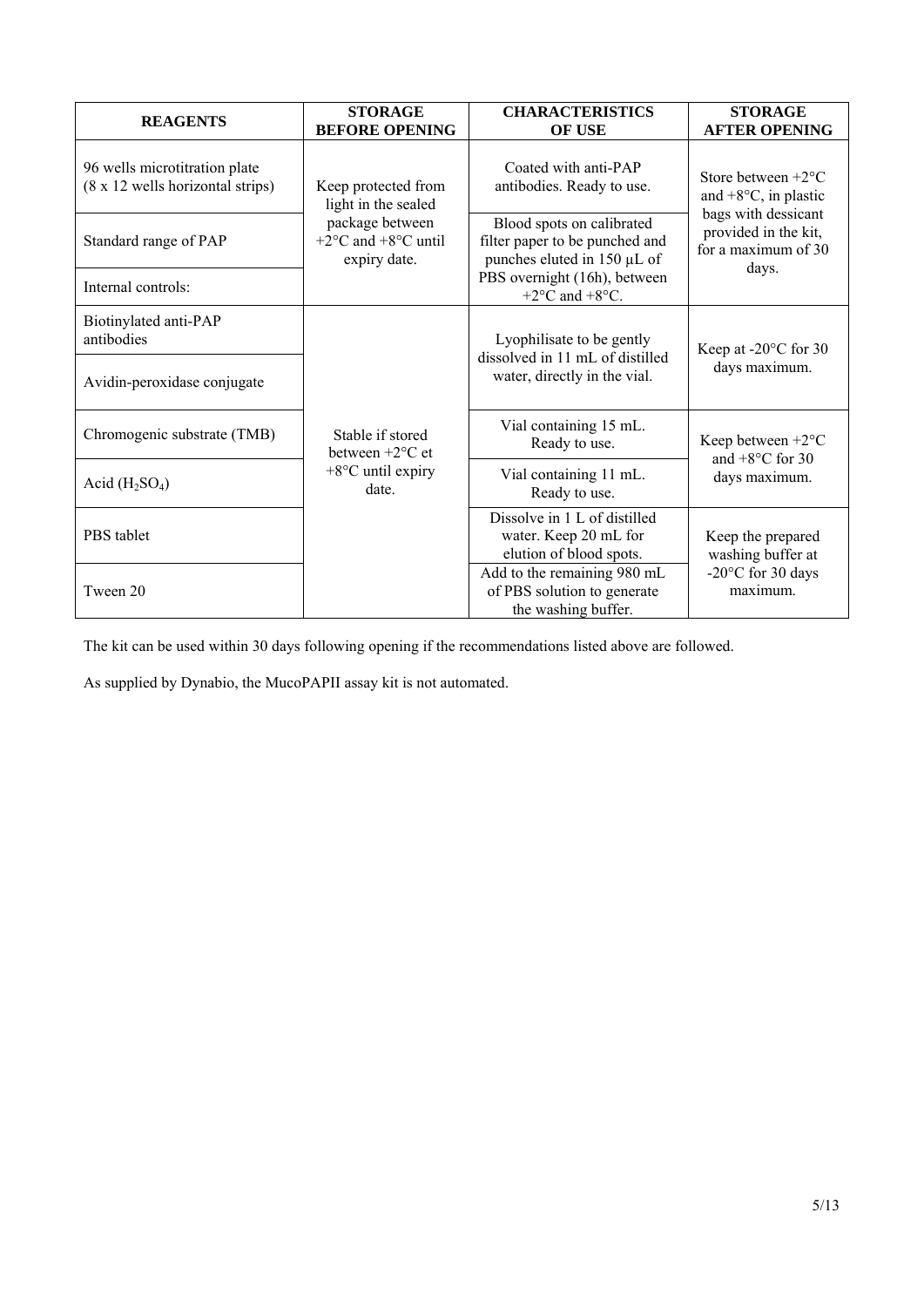| <b>REAGENTS</b>                                                   | <b>STORAGE</b><br><b>BEFORE OPENING</b>                                              | <b>CHARACTERISTICS</b><br><b>OF USE</b>                                                    | <b>STORAGE</b><br><b>AFTER OPENING</b>                                                                                                      |  |
|-------------------------------------------------------------------|--------------------------------------------------------------------------------------|--------------------------------------------------------------------------------------------|---------------------------------------------------------------------------------------------------------------------------------------------|--|
| 96 wells microtitration plate<br>(8 x 12 wells horizontal strips) | Keep protected from<br>light in the sealed                                           | Coated with anti-PAP<br>antibodies. Ready to use.                                          | Store between $+2$ <sup>o</sup> C<br>and $+8$ °C, in plastic<br>bags with dessicant<br>provided in the kit,<br>for a maximum of 30<br>days. |  |
| Standard range of PAP                                             | package between<br>+2 $\rm{^{\circ}C}$ and +8 $\rm{^{\circ}C}$ until<br>expiry date. | Blood spots on calibrated<br>filter paper to be punched and<br>punches eluted in 150 µL of |                                                                                                                                             |  |
| Internal controls:                                                |                                                                                      | PBS overnight (16h), between<br>+2 $\rm{^{\circ}C}$ and +8 $\rm{^{\circ}C}$ .              |                                                                                                                                             |  |
| Biotinylated anti-PAP<br>antibodies                               |                                                                                      | Lyophilisate to be gently<br>dissolved in 11 mL of distilled                               | Keep at -20°C for 30                                                                                                                        |  |
| Avidin-peroxidase conjugate                                       |                                                                                      | water, directly in the vial.                                                               | days maximum.                                                                                                                               |  |
| Chromogenic substrate (TMB)                                       | Stable if stored<br>between $+2$ <sup>o</sup> C et                                   | Vial containing 15 mL.<br>Ready to use.                                                    | Keep between $+2$ <sup>o</sup> C<br>and $+8$ °C for 30                                                                                      |  |
| Acid $(H_2SO_4)$                                                  | $+8$ °C until expiry<br>date.                                                        | Vial containing 11 mL.<br>Ready to use.                                                    | days maximum.                                                                                                                               |  |
| PBS tablet                                                        |                                                                                      | Dissolve in 1 L of distilled<br>water. Keep 20 mL for<br>elution of blood spots.           | Keep the prepared<br>washing buffer at                                                                                                      |  |
| Tween 20                                                          |                                                                                      | Add to the remaining 980 mL<br>of PBS solution to generate<br>the washing buffer.          | -20°C for 30 days<br>maximum.                                                                                                               |  |

The kit can be used within 30 days following opening if the recommendations listed above are followed.

As supplied by Dynabio, the MucoPAPII assay kit is not automated.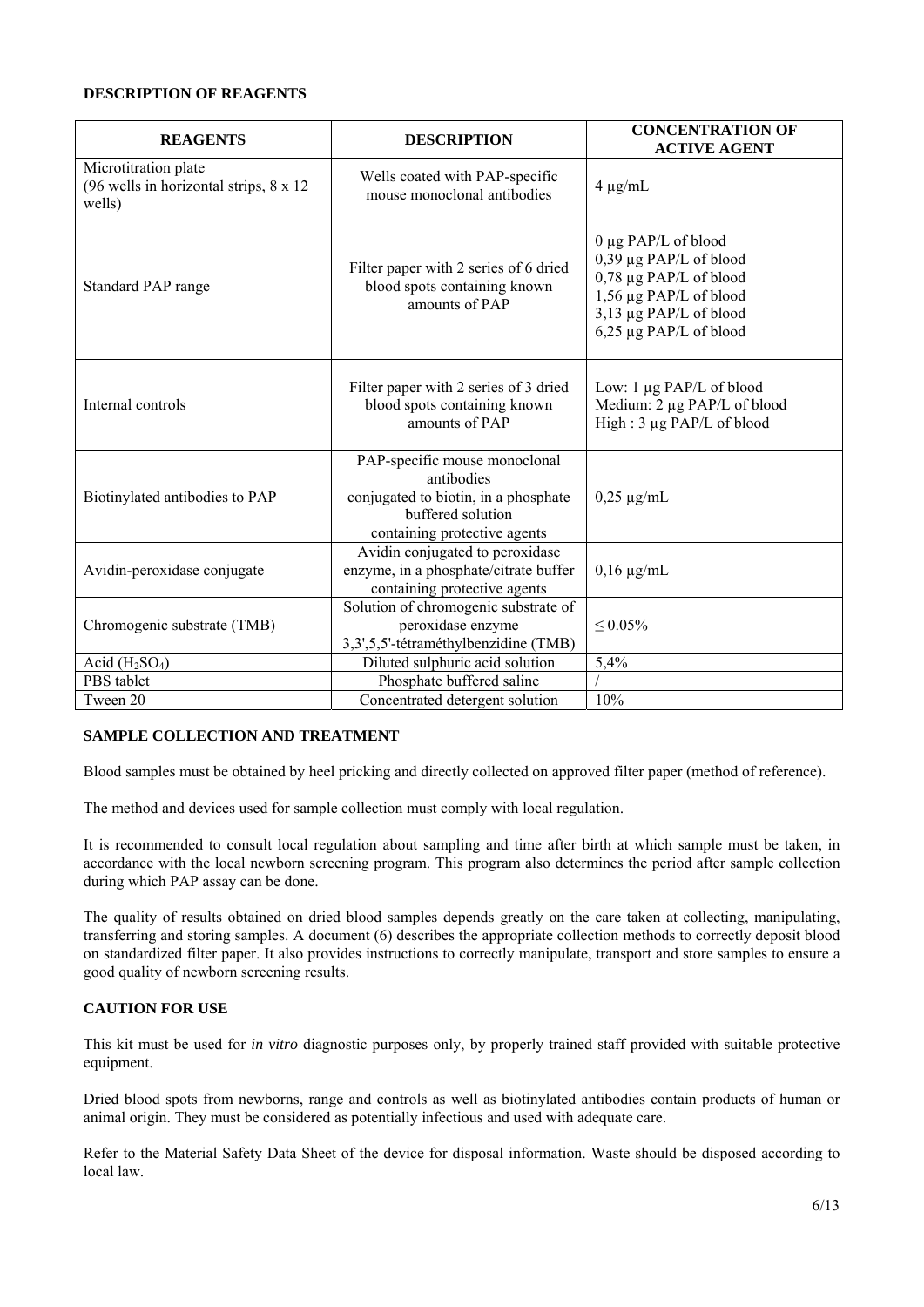#### **DESCRIPTION OF REAGENTS**

| <b>REAGENTS</b>                                                           | <b>DESCRIPTION</b>                                                                                                                       | <b>CONCENTRATION OF</b><br><b>ACTIVE AGENT</b>                                                                                                        |
|---------------------------------------------------------------------------|------------------------------------------------------------------------------------------------------------------------------------------|-------------------------------------------------------------------------------------------------------------------------------------------------------|
| Microtitration plate<br>(96 wells in horizontal strips, 8 x 12)<br>wells) | Wells coated with PAP-specific<br>mouse monoclonal antibodies                                                                            | $4 \mu g/mL$                                                                                                                                          |
| Standard PAP range                                                        | Filter paper with 2 series of 6 dried<br>blood spots containing known<br>amounts of PAP                                                  | 0 μg PAP/L of blood<br>0,39 µg PAP/L of blood<br>0,78 µg PAP/L of blood<br>1,56 µg PAP/L of blood<br>3,13 µg PAP/L of blood<br>6,25 µg PAP/L of blood |
| Internal controls                                                         | Filter paper with 2 series of 3 dried<br>blood spots containing known<br>amounts of PAP                                                  | Low: 1 µg PAP/L of blood<br>Medium: 2 µg PAP/L of blood<br>High: 3 µg PAP/L of blood                                                                  |
| Biotinylated antibodies to PAP                                            | PAP-specific mouse monoclonal<br>antibodies<br>conjugated to biotin, in a phosphate<br>buffered solution<br>containing protective agents | $0,25 \mu$ g/mL                                                                                                                                       |
| Avidin-peroxidase conjugate                                               | Avidin conjugated to peroxidase<br>enzyme, in a phosphate/citrate buffer<br>containing protective agents                                 | $0,16 \mu$ g/mL                                                                                                                                       |
| Chromogenic substrate (TMB)                                               | Solution of chromogenic substrate of<br>peroxidase enzyme<br>3,3',5,5'-tétraméthylbenzidine (TMB)                                        | $\leq 0.05\%$                                                                                                                                         |
| Acid $(H2SO4)$                                                            | Diluted sulphuric acid solution                                                                                                          | 5,4%                                                                                                                                                  |
| PBS tablet                                                                | Phosphate buffered saline                                                                                                                |                                                                                                                                                       |
| Tween 20                                                                  | Concentrated detergent solution                                                                                                          | 10%                                                                                                                                                   |

#### **SAMPLE COLLECTION AND TREATMENT**

Blood samples must be obtained by heel pricking and directly collected on approved filter paper (method of reference).

The method and devices used for sample collection must comply with local regulation.

It is recommended to consult local regulation about sampling and time after birth at which sample must be taken, in accordance with the local newborn screening program. This program also determines the period after sample collection during which PAP assay can be done.

The quality of results obtained on dried blood samples depends greatly on the care taken at collecting, manipulating, transferring and storing samples. A document (6) describes the appropriate collection methods to correctly deposit blood on standardized filter paper. It also provides instructions to correctly manipulate, transport and store samples to ensure a good quality of newborn screening results.

#### **CAUTION FOR USE**

This kit must be used for *in vitro* diagnostic purposes only, by properly trained staff provided with suitable protective equipment.

Dried blood spots from newborns, range and controls as well as biotinylated antibodies contain products of human or animal origin. They must be considered as potentially infectious and used with adequate care.

Refer to the Material Safety Data Sheet of the device for disposal information. Waste should be disposed according to local law.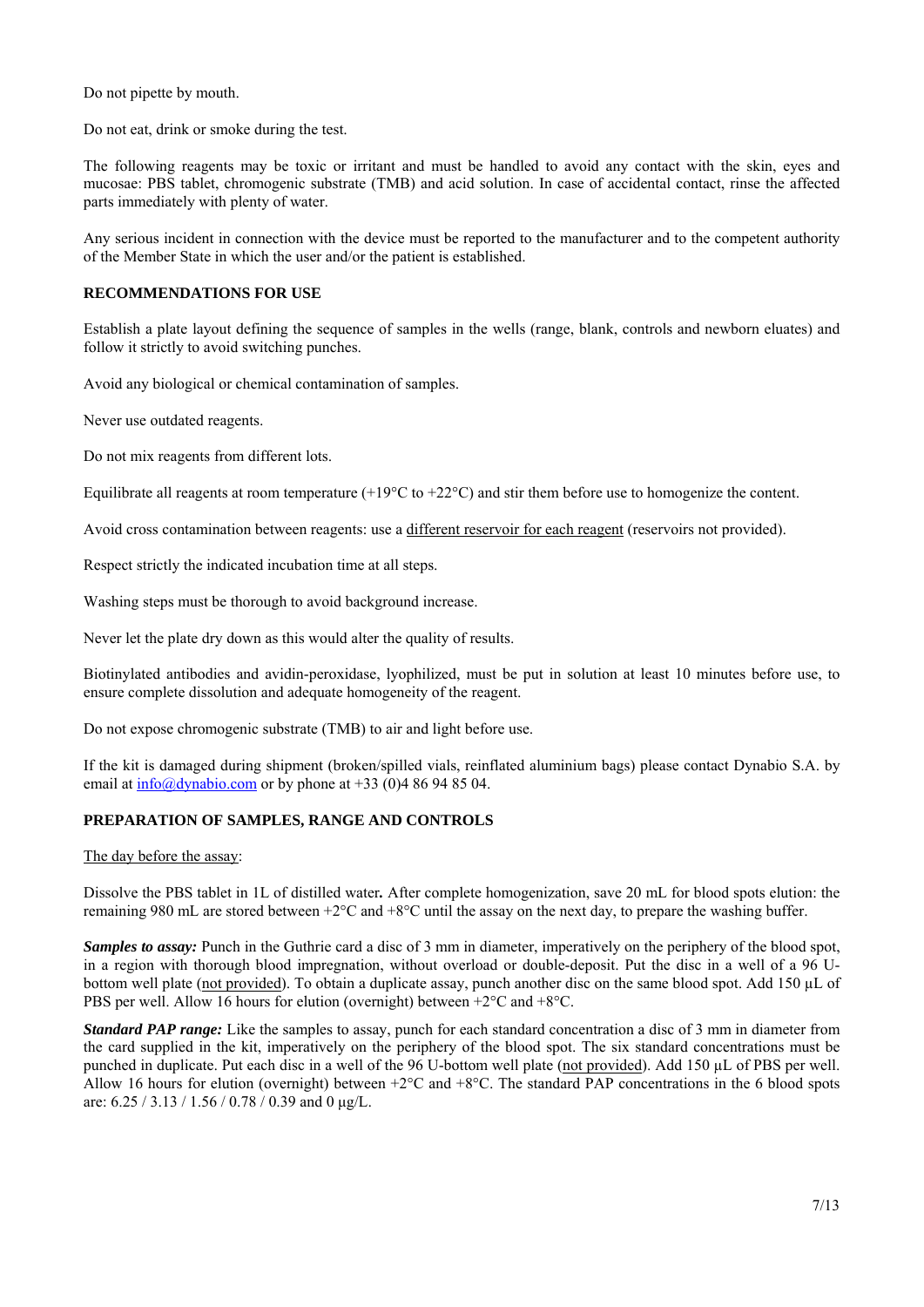Do not pipette by mouth.

Do not eat, drink or smoke during the test.

The following reagents may be toxic or irritant and must be handled to avoid any contact with the skin, eyes and mucosae: PBS tablet, chromogenic substrate (TMB) and acid solution. In case of accidental contact, rinse the affected parts immediately with plenty of water.

Any serious incident in connection with the device must be reported to the manufacturer and to the competent authority of the Member State in which the user and/or the patient is established.

#### **RECOMMENDATIONS FOR USE**

Establish a plate layout defining the sequence of samples in the wells (range, blank, controls and newborn eluates) and follow it strictly to avoid switching punches.

Avoid any biological or chemical contamination of samples.

Never use outdated reagents.

Do not mix reagents from different lots.

Equilibrate all reagents at room temperature (+19 $^{\circ}$ C to +22 $^{\circ}$ C) and stir them before use to homogenize the content.

Avoid cross contamination between reagents: use a different reservoir for each reagent (reservoirs not provided).

Respect strictly the indicated incubation time at all steps.

Washing steps must be thorough to avoid background increase.

Never let the plate dry down as this would alter the quality of results.

Biotinylated antibodies and avidin-peroxidase, lyophilized, must be put in solution at least 10 minutes before use, to ensure complete dissolution and adequate homogeneity of the reagent.

Do not expose chromogenic substrate (TMB) to air and light before use.

If the kit is damaged during shipment (broken/spilled vials, reinflated aluminium bags) please contact Dynabio S.A. by email at  $\frac{info(@dynabio.com)}{info(@dynabio.com)}$  or by phone at +33 (0)4 86 94 85 04.

#### **PREPARATION OF SAMPLES, RANGE AND CONTROLS**

The day before the assay:

Dissolve the PBS tablet in 1L of distilled water*.* After complete homogenization, save 20 mL for blood spots elution: the remaining 980 mL are stored between +2°C and +8°C until the assay on the next day, to prepare the washing buffer.

*Samples to assay:* Punch in the Guthrie card a disc of 3 mm in diameter, imperatively on the periphery of the blood spot, in a region with thorough blood impregnation, without overload or double-deposit. Put the disc in a well of a 96 Ubottom well plate (not provided). To obtain a duplicate assay, punch another disc on the same blood spot. Add 150 µL of PBS per well. Allow 16 hours for elution (overnight) between +2°C and +8°C.

*Standard PAP range:* Like the samples to assay, punch for each standard concentration a disc of 3 mm in diameter from the card supplied in the kit, imperatively on the periphery of the blood spot. The six standard concentrations must be punched in duplicate. Put each disc in a well of the 96 U-bottom well plate (not provided). Add 150 µL of PBS per well. Allow 16 hours for elution (overnight) between  $+2^{\circ}C$  and  $+8^{\circ}C$ . The standard PAP concentrations in the 6 blood spots are:  $6.25 / 3.13 / 1.56 / 0.78 / 0.39$  and 0  $\mu$ g/L.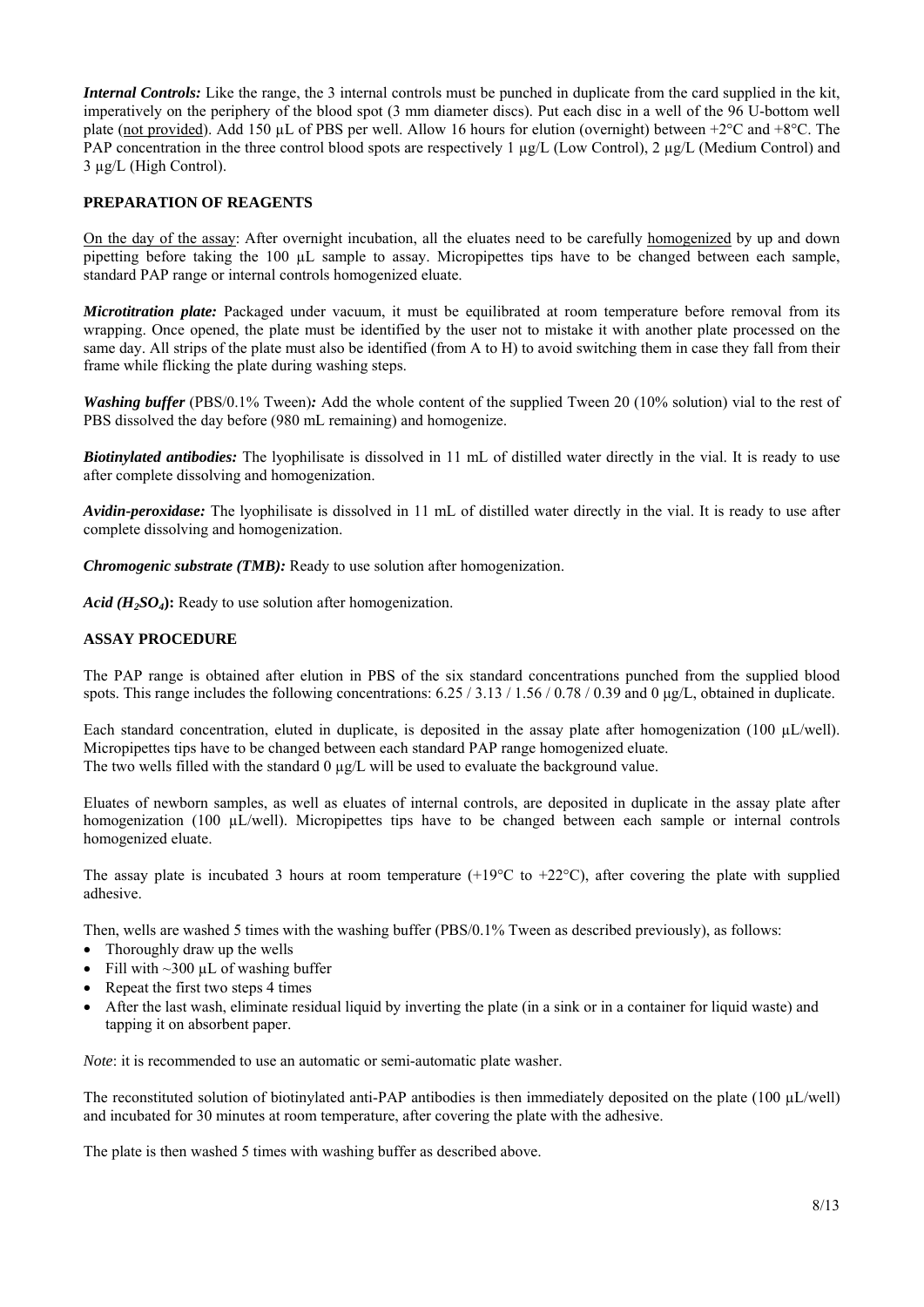*Internal Controls:* Like the range, the 3 internal controls must be punched in duplicate from the card supplied in the kit, imperatively on the periphery of the blood spot (3 mm diameter discs). Put each disc in a well of the 96 U-bottom well plate (not provided). Add 150 µL of PBS per well. Allow 16 hours for elution (overnight) between  $+2^{\circ}C$  and  $+8^{\circ}C$ . The PAP concentration in the three control blood spots are respectively  $1 \mu g/L$  (Low Control),  $2 \mu g/L$  (Medium Control) and 3 µg/L (High Control).

#### **PREPARATION OF REAGENTS**

On the day of the assay: After overnight incubation, all the eluates need to be carefully homogenized by up and down pipetting before taking the 100 µL sample to assay. Micropipettes tips have to be changed between each sample, standard PAP range or internal controls homogenized eluate.

*Microtitration plate:* Packaged under vacuum, it must be equilibrated at room temperature before removal from its wrapping. Once opened, the plate must be identified by the user not to mistake it with another plate processed on the same day. All strips of the plate must also be identified (from A to H) to avoid switching them in case they fall from their frame while flicking the plate during washing steps.

*Washing buffer* (PBS/0.1% Tween): Add the whole content of the supplied Tween 20 (10% solution) vial to the rest of PBS dissolved the day before (980 mL remaining) and homogenize.

*Biotinylated antibodies:* The lyophilisate is dissolved in 11 mL of distilled water directly in the vial. It is ready to use after complete dissolving and homogenization.

*Avidin-peroxidase:* The lyophilisate is dissolved in 11 mL of distilled water directly in the vial. It is ready to use after complete dissolving and homogenization.

*Chromogenic substrate (TMB):* Ready to use solution after homogenization.

*Acid (H2SO4***):** Ready to use solution after homogenization.

#### **ASSAY PROCEDURE**

The PAP range is obtained after elution in PBS of the six standard concentrations punched from the supplied blood spots. This range includes the following concentrations:  $6.25 / 3.13 / 1.56 / 0.78 / 0.39$  and 0 µg/L, obtained in duplicate.

Each standard concentration, eluted in duplicate, is deposited in the assay plate after homogenization (100  $\mu$ L/well). Micropipettes tips have to be changed between each standard PAP range homogenized eluate. The two wells filled with the standard  $0 \mu g/L$  will be used to evaluate the background value.

Eluates of newborn samples, as well as eluates of internal controls, are deposited in duplicate in the assay plate after homogenization (100 µL/well). Micropipettes tips have to be changed between each sample or internal controls homogenized eluate.

The assay plate is incubated 3 hours at room temperature  $(+19^{\circ}C$  to  $+22^{\circ}C$ ), after covering the plate with supplied adhesive.

Then, wells are washed 5 times with the washing buffer (PBS/0.1% Tween as described previously), as follows:

- Thoroughly draw up the wells
- Fill with  $\sim$ 300 µL of washing buffer
- Repeat the first two steps 4 times
- After the last wash, eliminate residual liquid by inverting the plate (in a sink or in a container for liquid waste) and tapping it on absorbent paper.

*Note*: it is recommended to use an automatic or semi-automatic plate washer.

The reconstituted solution of biotinylated anti-PAP antibodies is then immediately deposited on the plate  $(100 \text{ µL/well})$ and incubated for 30 minutes at room temperature, after covering the plate with the adhesive.

The plate is then washed 5 times with washing buffer as described above.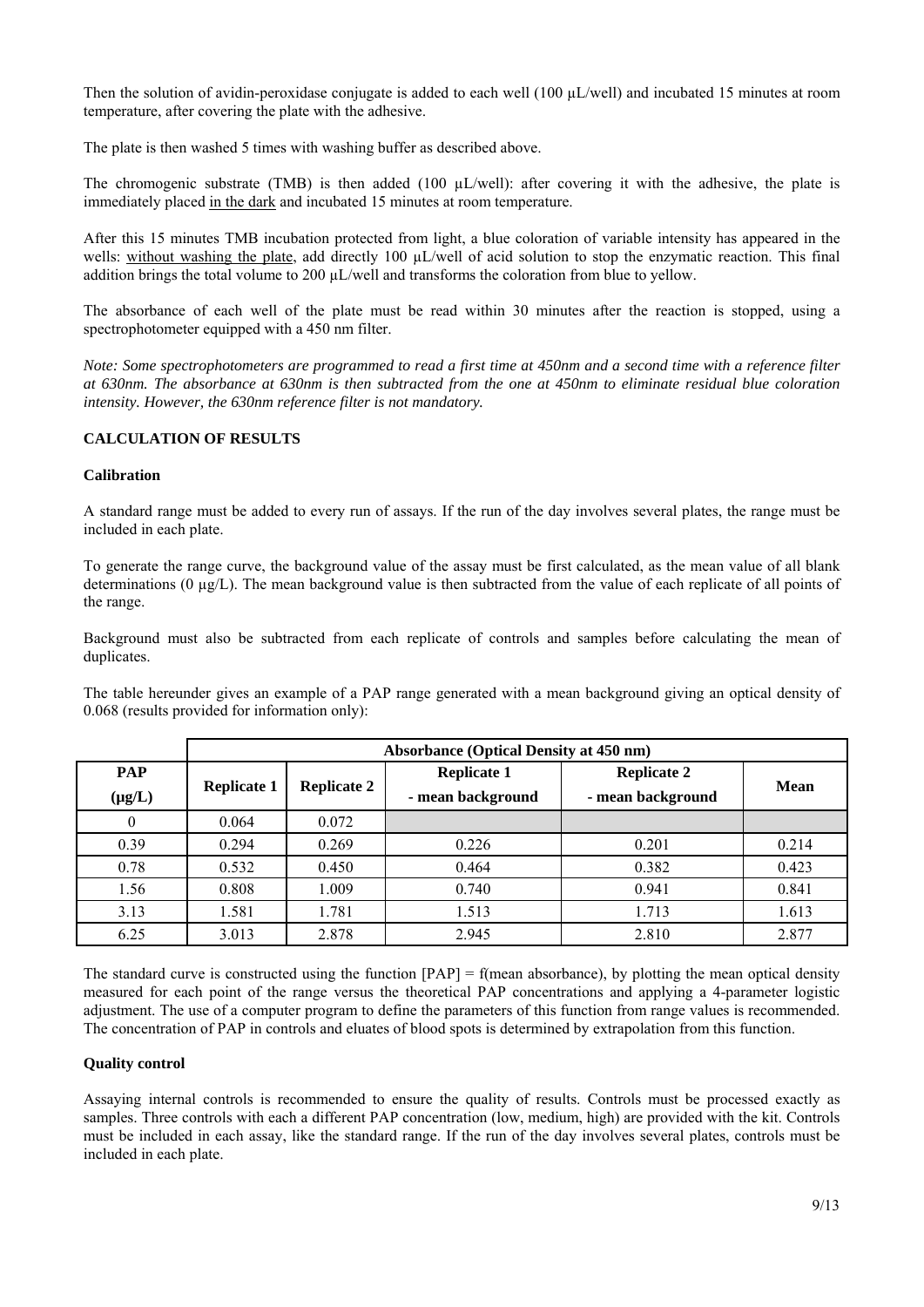Then the solution of avidin-peroxidase conjugate is added to each well (100  $\mu$ L/well) and incubated 15 minutes at room temperature, after covering the plate with the adhesive.

The plate is then washed 5 times with washing buffer as described above.

The chromogenic substrate (TMB) is then added (100 uL/well): after covering it with the adhesive, the plate is immediately placed in the dark and incubated 15 minutes at room temperature.

After this 15 minutes TMB incubation protected from light, a blue coloration of variable intensity has appeared in the wells: without washing the plate, add directly 100  $\mu$ L/well of acid solution to stop the enzymatic reaction. This final addition brings the total volume to 200  $\mu$ L/well and transforms the coloration from blue to yellow.

The absorbance of each well of the plate must be read within 30 minutes after the reaction is stopped, using a spectrophotometer equipped with a 450 nm filter.

*Note: Some spectrophotometers are programmed to read a first time at 450nm and a second time with a reference filter at 630nm. The absorbance at 630nm is then subtracted from the one at 450nm to eliminate residual blue coloration intensity. However, the 630nm reference filter is not mandatory.* 

#### **CALCULATION OF RESULTS**

#### **Calibration**

A standard range must be added to every run of assays. If the run of the day involves several plates, the range must be included in each plate.

To generate the range curve, the background value of the assay must be first calculated, as the mean value of all blank determinations ( $0 \mu g/L$ ). The mean background value is then subtracted from the value of each replicate of all points of the range.

Background must also be subtracted from each replicate of controls and samples before calculating the mean of duplicates.

The table hereunder gives an example of a PAP range generated with a mean background giving an optical density of 0.068 (results provided for information only):

|             | <b>Absorbance (Optical Density at 450 nm)</b> |                    |                    |                    |             |
|-------------|-----------------------------------------------|--------------------|--------------------|--------------------|-------------|
| <b>PAP</b>  | <b>Replicate 1</b>                            | <b>Replicate 2</b> | <b>Replicate 1</b> | <b>Replicate 2</b> | <b>Mean</b> |
| $(\mu g/L)$ |                                               |                    | - mean background  | - mean background  |             |
|             | 0.064                                         | 0.072              |                    |                    |             |
| 0.39        | 0.294                                         | 0.269              | 0.226              | 0.201              | 0.214       |
| 0.78        | 0.532                                         | 0.450              | 0.464              | 0.382              | 0.423       |
| 1.56        | 0.808                                         | 1.009              | 0.740              | 0.941              | 0.841       |
| 3.13        | 1.581                                         | 1.781              | 1.513              | 1.713              | 1.613       |
| 6.25        | 3.013                                         | 2.878              | 2.945              | 2.810              | 2.877       |

The standard curve is constructed using the function  $[PAP] = f$  (mean absorbance), by plotting the mean optical density measured for each point of the range versus the theoretical PAP concentrations and applying a 4-parameter logistic adjustment. The use of a computer program to define the parameters of this function from range values is recommended. The concentration of PAP in controls and eluates of blood spots is determined by extrapolation from this function.

#### **Quality control**

Assaying internal controls is recommended to ensure the quality of results. Controls must be processed exactly as samples. Three controls with each a different PAP concentration (low, medium, high) are provided with the kit. Controls must be included in each assay, like the standard range. If the run of the day involves several plates, controls must be included in each plate.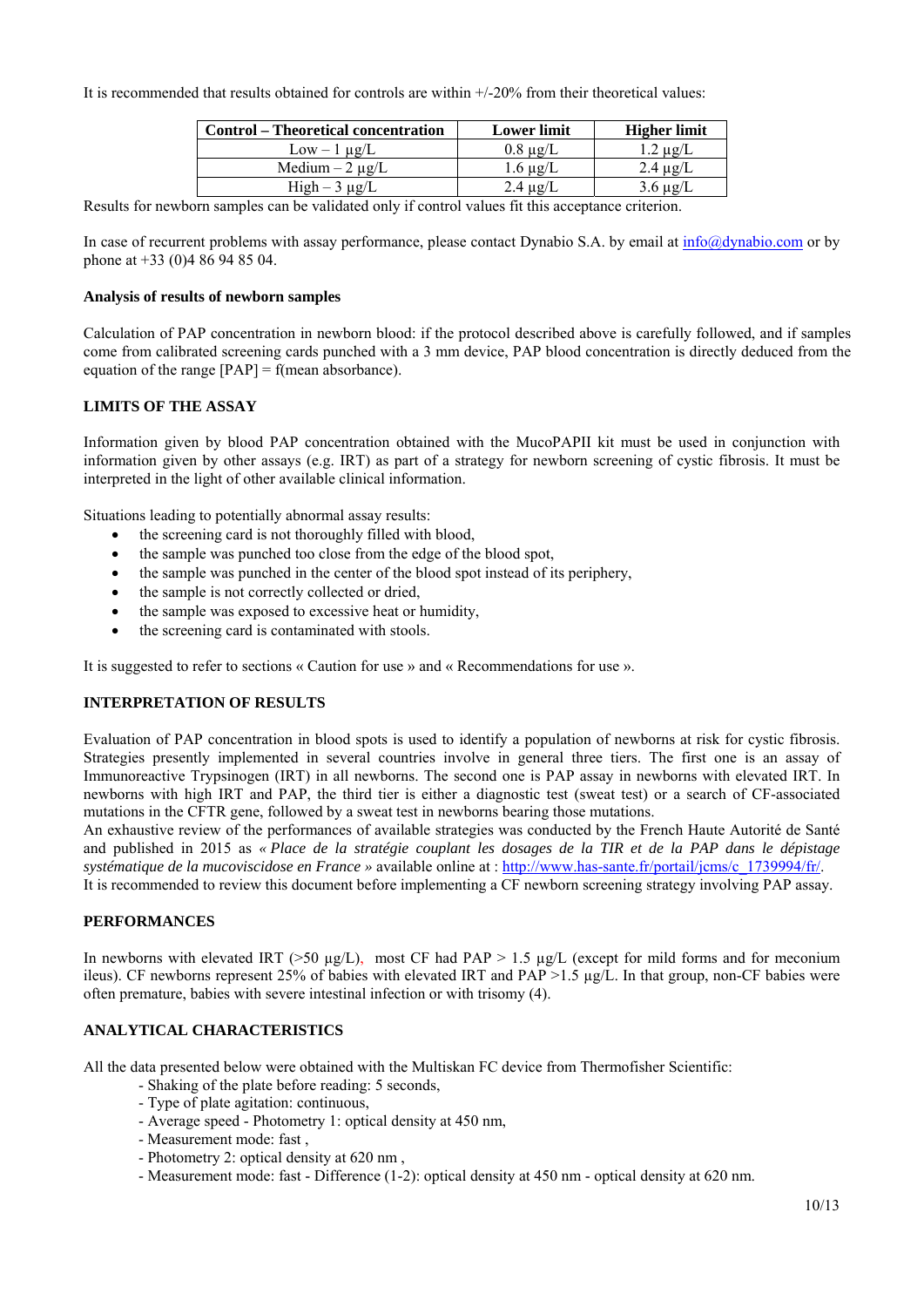It is recommended that results obtained for controls are within +/-20% from their theoretical values:

| <b>Control</b> – Theoretical concentration | <b>Lower limit</b> | <b>Higher limit</b> |
|--------------------------------------------|--------------------|---------------------|
| $Low - 1 \mu g/L$                          | $0.8 \mu g/L$      | $1.2 \mu$ g/L       |
| Medium $-2 \mu g/L$                        | $1.6 \mu g/L$      | $2.4 \mu$ g/L       |
| $High-3 \mu g/L$                           | $2.4 \mu$ g/L      | $3.6 \mu g/L$       |

Results for newborn samples can be validated only if control values fit this acceptance criterion.

In case of recurrent problems with assay performance, please contact Dynabio S.A. by email at  $\frac{info(\partial_t \text{dynabio.com}}{$  or by phone at +33 (0)4 86 94 85 04.

#### **Analysis of results of newborn samples**

Calculation of PAP concentration in newborn blood: if the protocol described above is carefully followed, and if samples come from calibrated screening cards punched with a 3 mm device, PAP blood concentration is directly deduced from the equation of the range  $[PAP] = f$ (mean absorbance).

#### **LIMITS OF THE ASSAY**

Information given by blood PAP concentration obtained with the MucoPAPII kit must be used in conjunction with information given by other assays (e.g. IRT) as part of a strategy for newborn screening of cystic fibrosis. It must be interpreted in the light of other available clinical information.

Situations leading to potentially abnormal assay results:

- the screening card is not thoroughly filled with blood,
- the sample was punched too close from the edge of the blood spot,
- the sample was punched in the center of the blood spot instead of its periphery,
- the sample is not correctly collected or dried,
- the sample was exposed to excessive heat or humidity,
- the screening card is contaminated with stools.

It is suggested to refer to sections « Caution for use » and « Recommendations for use ».

#### **INTERPRETATION OF RESULTS**

Evaluation of PAP concentration in blood spots is used to identify a population of newborns at risk for cystic fibrosis. Strategies presently implemented in several countries involve in general three tiers. The first one is an assay of Immunoreactive Trypsinogen (IRT) in all newborns. The second one is PAP assay in newborns with elevated IRT. In newborns with high IRT and PAP, the third tier is either a diagnostic test (sweat test) or a search of CF-associated mutations in the CFTR gene, followed by a sweat test in newborns bearing those mutations.

An exhaustive review of the performances of available strategies was conducted by the French Haute Autorité de Santé and published in 2015 as *« Place de la stratégie couplant les dosages de la TIR et de la PAP dans le dépistage systématique de la mucoviscidose en France »* available online at : http://www.has-sante.fr/portail/jcms/c\_1739994/fr/.

It is recommended to review this document before implementing a CF newborn screening strategy involving PAP assay.

#### **PERFORMANCES**

In newborns with elevated IRT ( $>50 \mu g/L$ ), most CF had PAP  $> 1.5 \mu g/L$  (except for mild forms and for meconium ileus). CF newborns represent 25% of babies with elevated IRT and PAP >1.5 µg/L. In that group, non-CF babies were often premature, babies with severe intestinal infection or with trisomy (4).

#### **ANALYTICAL CHARACTERISTICS**

All the data presented below were obtained with the Multiskan FC device from Thermofisher Scientific:

- Shaking of the plate before reading: 5 seconds,
- Type of plate agitation: continuous,
- Average speed Photometry 1: optical density at 450 nm,
- Measurement mode: fast ,
- Photometry 2: optical density at 620 nm ,
- Measurement mode: fast Difference (1-2): optical density at 450 nm optical density at 620 nm.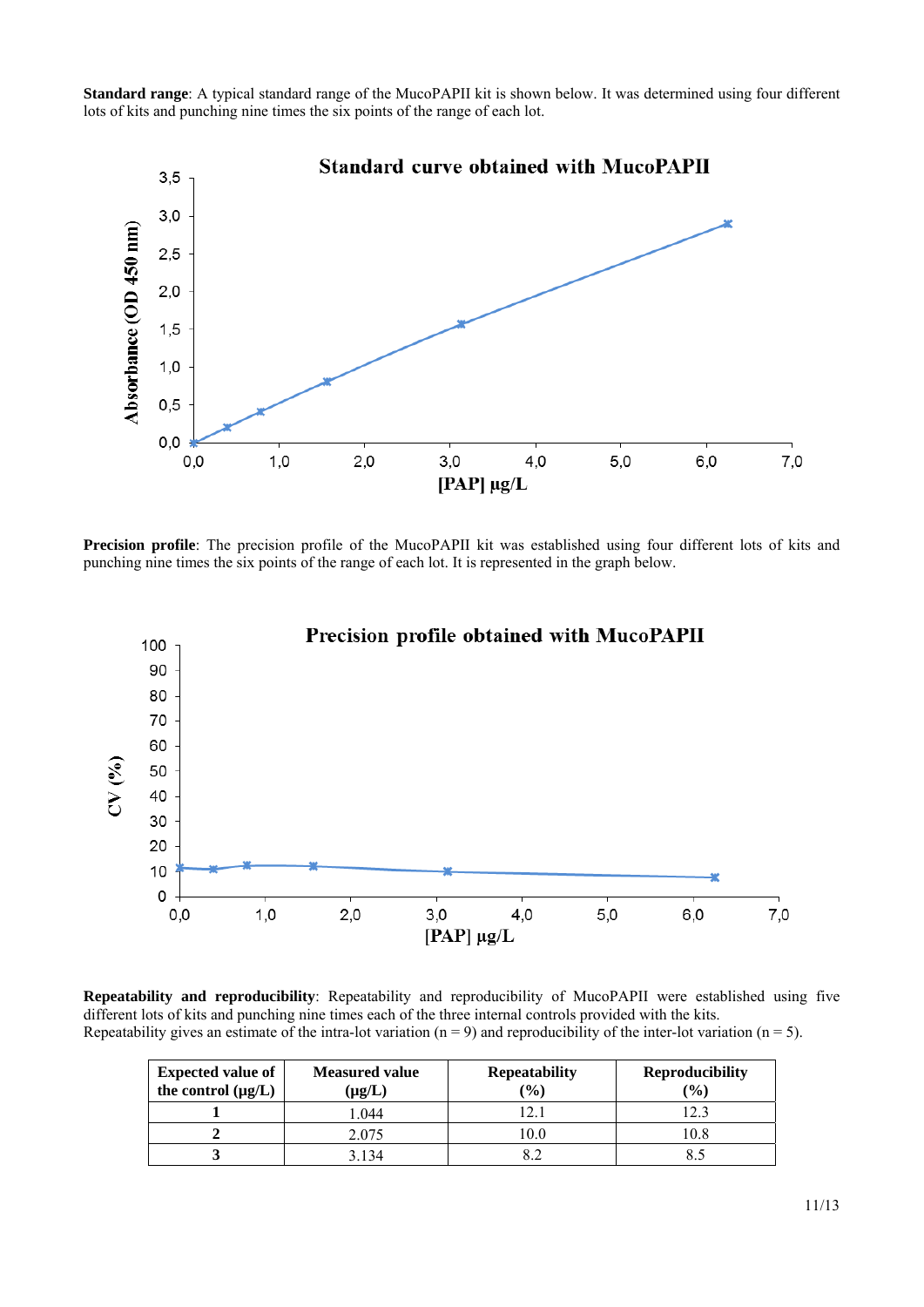**Standard range**: A typical standard range of the MucoPAPII kit is shown below. It was determined using four different lots of kits and punching nine times the six points of the range of each lot.



**Precision profile**: The precision profile of the MucoPAPII kit was established using four different lots of kits and punching nine times the six points of the range of each lot. It is represented in the graph below.



**Repeatability and reproducibility**: Repeatability and reproducibility of MucoPAPII were established using five different lots of kits and punching nine times each of the three internal controls provided with the kits. Repeatability gives an estimate of the intra-lot variation ( $n = 9$ ) and reproducibility of the inter-lot variation ( $n = 5$ ).

| <b>Expected value of</b><br>the control $(\mu g/L)$ | <b>Measured value</b><br>$(\mu g/L)$ | <b>Repeatability</b><br>$(\%)$ | <b>Reproducibility</b><br>(%) |
|-----------------------------------------------------|--------------------------------------|--------------------------------|-------------------------------|
|                                                     | .044                                 |                                | 12.3                          |
|                                                     | 2.075                                | 10.0                           | 10.8                          |
|                                                     | 3 1 3 4                              |                                |                               |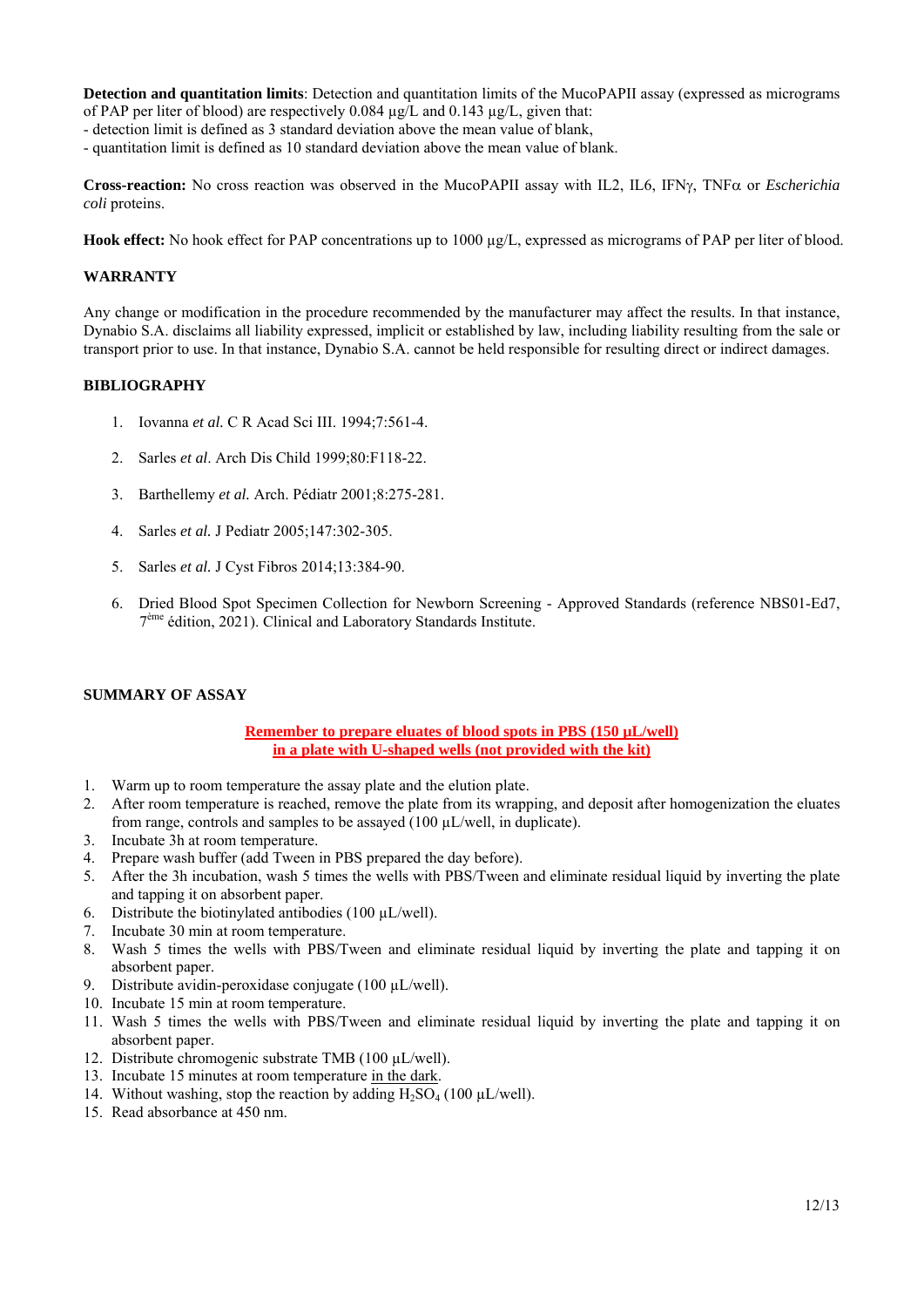**Detection and quantitation limits**: Detection and quantitation limits of the MucoPAPII assay (expressed as micrograms of PAP per liter of blood) are respectively 0.084 µg/L and 0.143 µg/L, given that:

- detection limit is defined as 3 standard deviation above the mean value of blank,

- quantitation limit is defined as 10 standard deviation above the mean value of blank.

**Cross-reaction:** No cross reaction was observed in the MucoPAPII assay with IL2, IL6, IFN $\gamma$ , TNF $\alpha$  or *Escherichia coli* proteins.

Hook effect: No hook effect for PAP concentrations up to 1000  $\mu$ g/L, expressed as micrograms of PAP per liter of blood.

#### **WARRANTY**

Any change or modification in the procedure recommended by the manufacturer may affect the results. In that instance, Dynabio S.A. disclaims all liability expressed, implicit or established by law, including liability resulting from the sale or transport prior to use. In that instance, Dynabio S.A. cannot be held responsible for resulting direct or indirect damages.

#### **BIBLIOGRAPHY**

- 1. Iovanna *et al.* C R Acad Sci III. 1994;7:561-4.
- 2. Sarles *et al*. Arch Dis Child 1999;80:F118-22.
- 3. Barthellemy *et al.* Arch. Pédiatr 2001;8:275-281.
- 4. Sarles *et al.* J Pediatr 2005;147:302-305.
- 5. Sarles *et al.* J Cyst Fibros 2014;13:384-90.
- 6. Dried Blood Spot Specimen Collection for Newborn Screening Approved Standards (reference NBS01-Ed7, 7ème édition, 2021). Clinical and Laboratory Standards Institute.

#### **SUMMARY OF ASSAY**

#### **Remember to prepare eluates of blood spots in PBS (150 µL/well) in a plate with U-shaped wells (not provided with the kit)**

- 1. Warm up to room temperature the assay plate and the elution plate.
- 2. After room temperature is reached, remove the plate from its wrapping, and deposit after homogenization the eluates from range, controls and samples to be assayed (100 µL/well, in duplicate).
- 3. Incubate 3h at room temperature.
- 4. Prepare wash buffer (add Tween in PBS prepared the day before).
- 5. After the 3h incubation, wash 5 times the wells with PBS/Tween and eliminate residual liquid by inverting the plate and tapping it on absorbent paper.
- 6. Distribute the biotinylated antibodies (100  $\mu$ L/well).
- 7. Incubate 30 min at room temperature.
- 8. Wash 5 times the wells with PBS/Tween and eliminate residual liquid by inverting the plate and tapping it on absorbent paper.
- 9. Distribute avidin-peroxidase conjugate (100 µL/well).
- 10. Incubate 15 min at room temperature.
- 11. Wash 5 times the wells with PBS/Tween and eliminate residual liquid by inverting the plate and tapping it on absorbent paper.
- 12. Distribute chromogenic substrate TMB (100 µL/well).
- 13. Incubate 15 minutes at room temperature in the dark.
- 14. Without washing, stop the reaction by adding  $H_2SO_4$  (100  $\mu$ L/well).
- 15. Read absorbance at 450 nm.